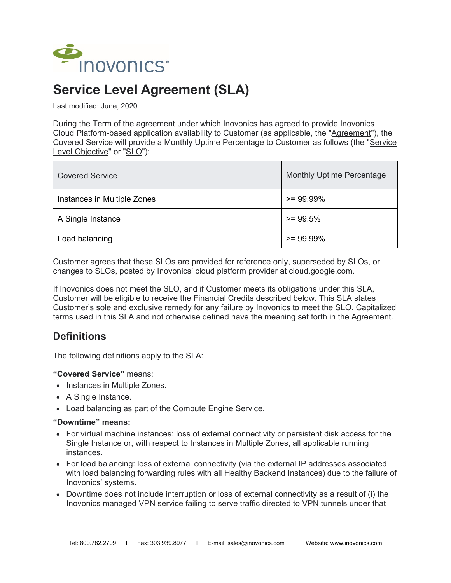

# **Service Level Agreement (SLA)**

Last modified: June, 2020

During the Term of the agreement under which Inovonics has agreed to provide Inovonics Cloud Platform-based application availability to Customer (as applicable, the "Agreement"), the Covered Service will provide a Monthly Uptime Percentage to Customer as follows (the "Service Level Objective" or "SLO"):

| <b>Covered Service</b>      | <b>Monthly Uptime Percentage</b> |
|-----------------------------|----------------------------------|
| Instances in Multiple Zones | $>= 99.99\%$                     |
| A Single Instance           | $>= 99.5%$                       |
| Load balancing              | $>= 99.99\%$                     |

Customer agrees that these SLOs are provided for reference only, superseded by SLOs, or changes to SLOs, posted by Inovonics' cloud platform provider at cloud.google.com.

If Inovonics does not meet the SLO, and if Customer meets its obligations under this SLA, Customer will be eligible to receive the Financial Credits described below. This SLA states Customer's sole and exclusive remedy for any failure by Inovonics to meet the SLO. Capitalized terms used in this SLA and not otherwise defined have the meaning set forth in the Agreement.

### **Definitions**

The following definitions apply to the SLA:

**"Covered Service"** means:

- Instances in Multiple Zones.
- A Single Instance.
- Load balancing as part of the Compute Engine Service.

#### **"Downtime" means:**

- For virtual machine instances: loss of external connectivity or persistent disk access for the Single Instance or, with respect to Instances in Multiple Zones, all applicable running instances.
- For load balancing: loss of external connectivity (via the external IP addresses associated with load balancing forwarding rules with all Healthy Backend Instances) due to the failure of Inovonics' systems.
- Downtime does not include interruption or loss of external connectivity as a result of (i) the Inovonics managed VPN service failing to serve traffic directed to VPN tunnels under that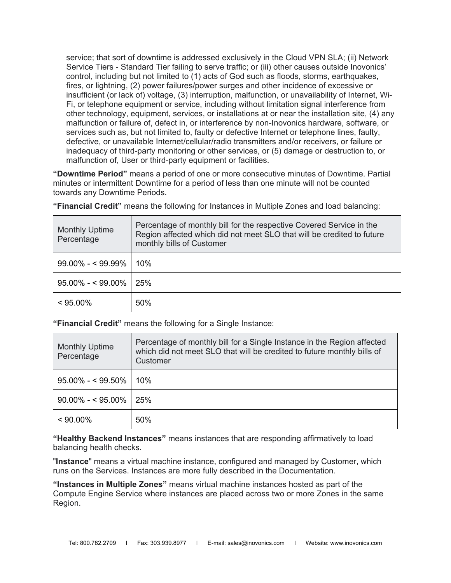service; that sort of downtime is addressed exclusively in the Cloud VPN SLA; (ii) [Network](https://cloud.google.com/network-tiers/docs/overview)  [Service Tiers - Standard Tier](https://cloud.google.com/network-tiers/docs/overview) failing to serve traffic; or (iii) other causes outside Inovonics' control, including but not limited to (1) acts of God such as floods, storms, earthquakes, fires, or lightning, (2) power failures/power surges and other incidence of excessive or insufficient (or lack of) voltage, (3) interruption, malfunction, or unavailability of Internet, Wi-Fi, or telephone equipment or service, including without limitation signal interference from other technology, equipment, services, or installations at or near the installation site, (4) any malfunction or failure of, defect in, or interference by non-Inovonics hardware, software, or services such as, but not limited to, faulty or defective Internet or telephone lines, faulty, defective, or unavailable Internet/cellular/radio transmitters and/or receivers, or failure or inadequacy of third-party monitoring or other services, or (5) damage or destruction to, or malfunction of, User or third-party equipment or facilities.

**"Downtime Period"** means a period of one or more consecutive minutes of Downtime. Partial minutes or intermittent Downtime for a period of less than one minute will not be counted towards any Downtime Periods.

**"Financial Credit"** means the following for Instances in Multiple Zones and load balancing:

| <b>Monthly Uptime</b><br>Percentage | Percentage of monthly bill for the respective Covered Service in the<br>Region affected which did not meet SLO that will be credited to future<br>monthly bills of Customer |
|-------------------------------------|-----------------------------------------------------------------------------------------------------------------------------------------------------------------------------|
| $99.00\% - 99.99\%$                 | 10%                                                                                                                                                                         |
| $95.00\% - 99.00\%$   25%           |                                                                                                                                                                             |
| $< 95.00\%$                         | 50%                                                                                                                                                                         |

**"Financial Credit"** means the following for a Single Instance:

| <b>Monthly Uptime</b><br>Percentage | Percentage of monthly bill for a Single Instance in the Region affected<br>which did not meet SLO that will be credited to future monthly bills of<br>Customer |
|-------------------------------------|----------------------------------------------------------------------------------------------------------------------------------------------------------------|
| $95.00\% - 99.50\%$                 | 10%                                                                                                                                                            |
| $90.00\% - $95.00\%$                | 25%                                                                                                                                                            |
| $< 90.00\%$                         | 50%                                                                                                                                                            |

**"Healthy Backend Instances"** means instances that are responding affirmatively to load balancing health checks.

"**Instance**" means a virtual machine instance, configured and managed by Customer, which runs on the Services. Instances are more fully described in the Documentation.

**"Instances in Multiple Zones"** means virtual machine instances hosted as part of the Compute Engine Service where instances are placed across two or more Zones in the same Region.